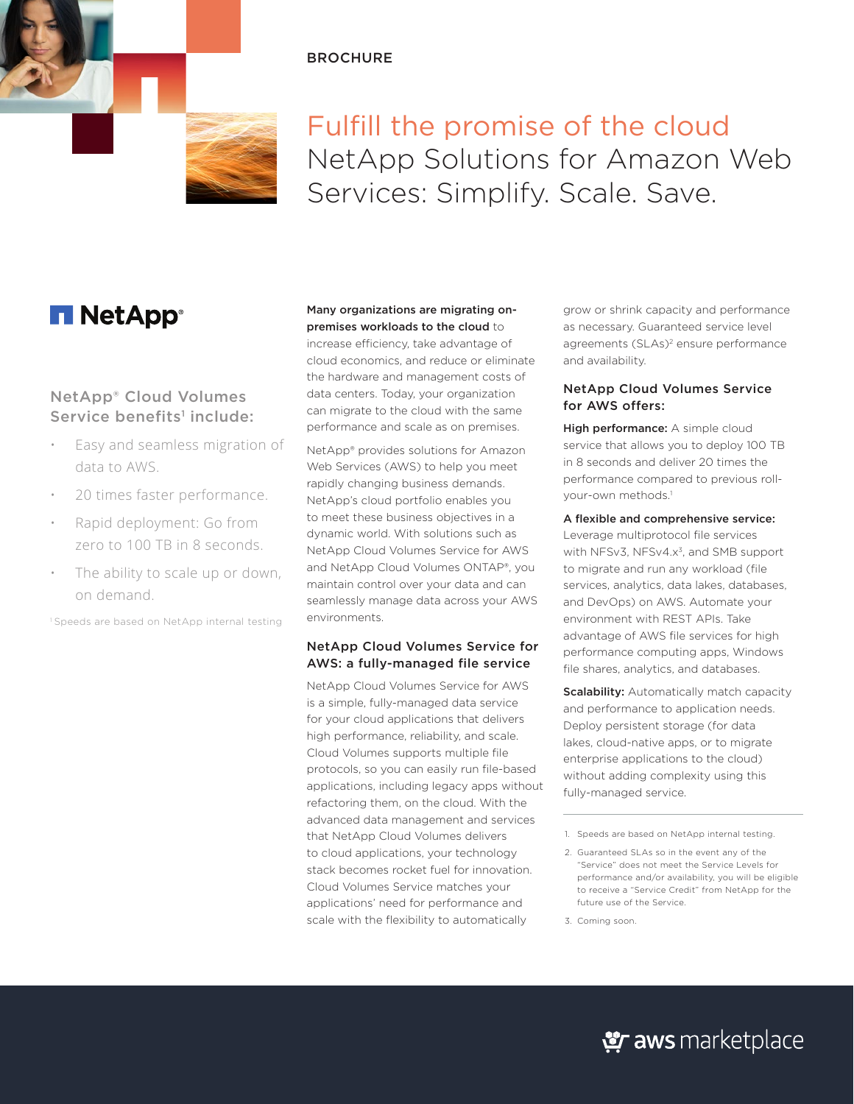# **BROCHURE**



Fulfill the promise of the cloud NetApp Solutions for Amazon Web Services: Simplify. Scale. Save.

# **T NetApp**<sup>®</sup>

# NetApp® Cloud Volumes Service benefits<sup>1</sup> include:

- Easy and seamless migration of data to AWS.
- 20 times faster performance.
- Rapid deployment: Go from zero to 100 TB in 8 seconds.
- The ability to scale up or down, on demand.

<sup>1</sup> Speeds are based on NetApp internal testing

## Many organizations are migrating onpremises workloads to the cloud to

increase efficiency, take advantage of cloud economics, and reduce or eliminate the hardware and management costs of data centers. Today, your organization can migrate to the cloud with the same performance and scale as on premises.

NetApp® provides solutions for Amazon Web Services (AWS) to help you meet rapidly changing business demands. NetApp's cloud portfolio enables you to meet these business objectives in a dynamic world. With solutions such as NetApp Cloud Volumes Service for AWS and NetApp Cloud Volumes ONTAP®, you maintain control over your data and can seamlessly manage data across your AWS environments.

# NetApp Cloud Volumes Service for AWS: a fully-managed file service

NetApp Cloud Volumes Service for AWS is a simple, fully-managed data service for your cloud applications that delivers high performance, reliability, and scale. Cloud Volumes supports multiple file protocols, so you can easily run file-based applications, including legacy apps without refactoring them, on the cloud. With the advanced data management and services that NetApp Cloud Volumes delivers to cloud applications, your technology stack becomes rocket fuel for innovation. Cloud Volumes Service matches your applications' need for performance and scale with the flexibility to automatically

grow or shrink capacity and performance as necessary. Guaranteed service level agreements (SLAs)<sup>2</sup> ensure performance and availability.

# NetApp Cloud Volumes Service for AWS offers:

High performance: A simple cloud service that allows you to deploy 100 TB in 8 seconds and deliver 20 times the performance compared to previous rollyour-own methods.<sup>1</sup>

#### A flexible and comprehensive service:

Leverage multiprotocol file services with NFSv3, NFSv4.x<sup>3</sup>, and SMB support to migrate and run any workload (file services, analytics, data lakes, databases, and DevOps) on AWS. Automate your environment with REST APIs. Take advantage of AWS file services for high performance computing apps, Windows file shares, analytics, and databases.

**Scalability:** Automatically match capacity and performance to application needs. Deploy persistent storage (for data lakes, cloud-native apps, or to migrate enterprise applications to the cloud) without adding complexity using this fully-managed service.

2. Guaranteed SLAs so in the event any of the "Service" does not meet the Service Levels for performance and/or availability, you will be eligible to receive a "Service Credit" from NetApp for the future use of the Service.

3. Coming soon.

<sup>1.</sup> Speeds are based on NetApp internal testing.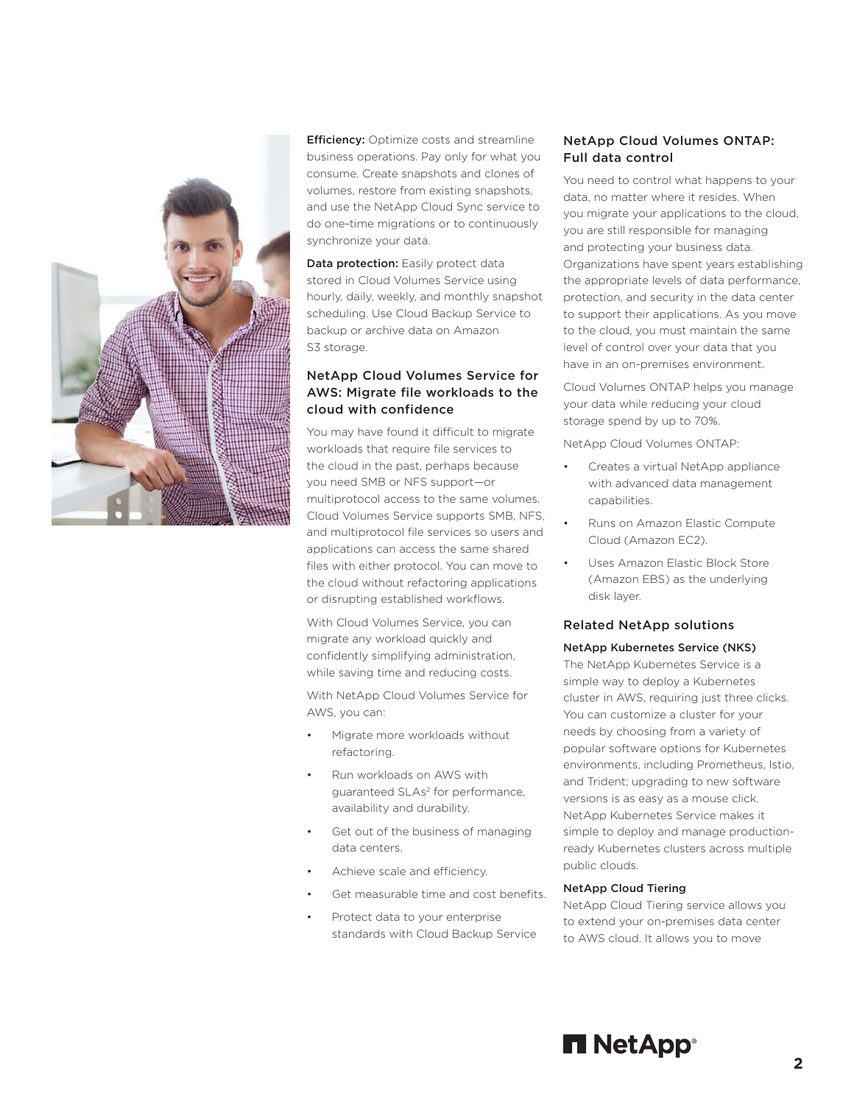

**Efficiency:** Optimize costs and streamline business operations. Pay only for what you consume. Create snapshots and clones of volumes, restore from existing snapshots, and use the NetApp Cloud Sync service to do one-time migrations or to continuously synchronize your data.

Data protection: Easily protect data stored in Cloud Volumes Service using hourly, daily, weekly, and monthly snapshot scheduling. Use Cloud Backup Service to backup or archive data on Amazon S3 storage.

# NetApp Cloud Volumes Service for AWS: Migrate file workloads to the cloud with confidence

You may have found it difficult to migrate workloads that require file services to the cloud in the past, perhaps because you need SMB or NFS support—or multiprotocol access to the same volumes. Cloud Volumes Service supports SMB, NFS, and multiprotocol file services so users and applications can access the same shared files with either protocol. You can move to the cloud without refactoring applications or disrupting established workflows.

With Cloud Volumes Service, you can migrate any workload quickly and confidently simplifying administration, while saving time and reducing costs.

With NetApp Cloud Volumes Service for AWS, you can:

- Migrate more workloads without refactoring.
- Run workloads on AWS with guaranteed SLAs<sup>2</sup> for performance, availability and durability.
- Get out of the business of managing data centers.
- Achieve scale and efficiency.
- Get measurable time and cost benefits.
- Protect data to your enterprise standards with Cloud Backup Service

# NetApp Cloud Volumes ONTAP: Full data control

You need to control what happens to your data, no matter where it resides. When you migrate your applications to the cloud, you are still responsible for managing and protecting your business data. Organizations have spent years establishing the appropriate levels of data performance, protection, and security in the data center to support their applications. As you move to the cloud, you must maintain the same level of control over your data that you have in an on-premises environment.

Cloud Volumes ONTAP helps you manage your data while reducing your cloud storage spend by up to 70%.

NetApp Cloud Volumes ONTAP:

- Creates a virtual NetApp appliance with advanced data management capabilities.
- Runs on Amazon Elastic Compute Cloud (Amazon EC2).
- Uses Amazon Elastic Block Store (Amazon EBS) as the underlying disk layer.

## Related NetApp solutions

#### NetApp Kubernetes Service (NKS)

The NetApp Kubernetes Service is a simple way to deploy a Kubernetes cluster in AWS, requiring just three clicks. You can customize a cluster for your needs by choosing from a variety of popular software options for Kubernetes environments, including Prometheus, Istio, and Trident; upgrading to new software versions is as easy as a mouse click. NetApp Kubernetes Service makes it simple to deploy and manage productionready Kubernetes clusters across multiple public clouds.

#### NetApp Cloud Tiering

NetApp Cloud Tiering service allows you to extend your on-premises data center to AWS cloud. It allows you to move

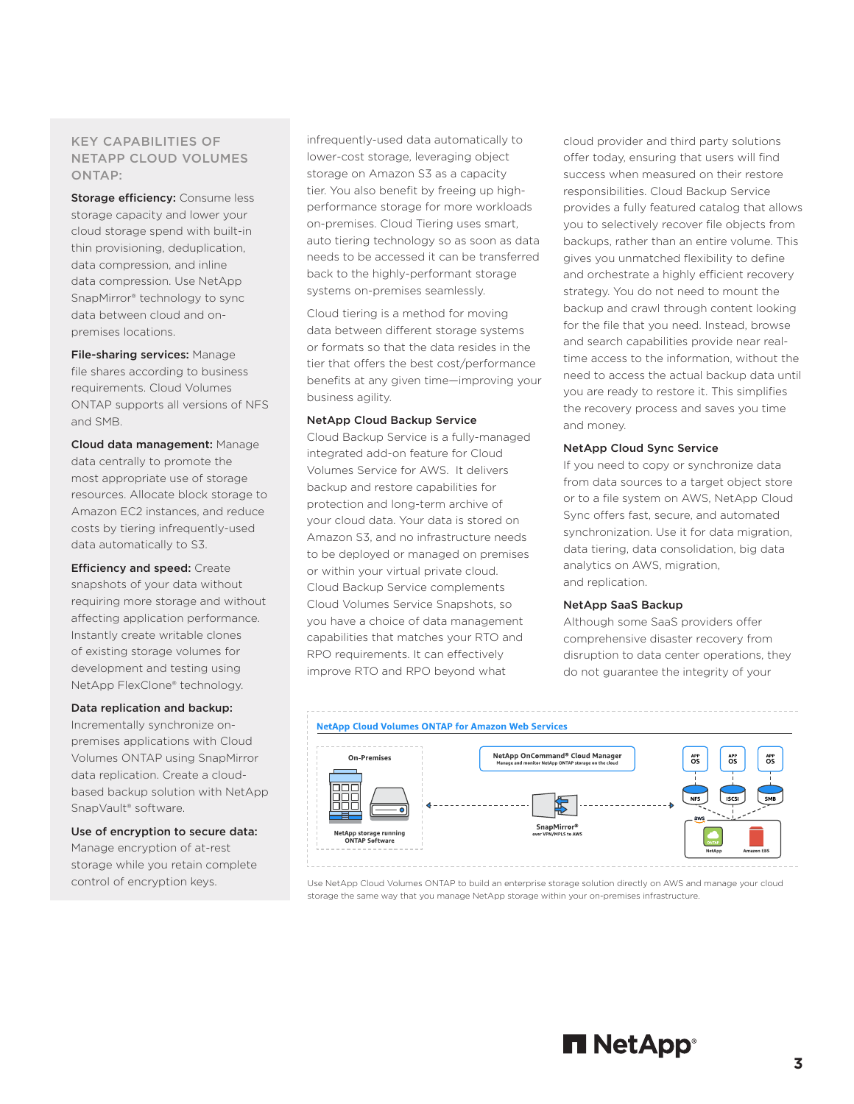# KEY CAPABILITIES OF NETAPP CLOUD VOLUMES ONTAP:

Storage efficiency: Consume less storage capacity and lower your cloud storage spend with built-in thin provisioning, deduplication, data compression, and inline data compression. Use NetApp SnapMirror® technology to sync data between cloud and onpremises locations.

File-sharing services: Manage file shares according to business requirements. Cloud Volumes ONTAP supports all versions of NFS and SMB.

Cloud data management: Manage data centrally to promote the most appropriate use of storage resources. Allocate block storage to Amazon EC2 instances, and reduce costs by tiering infrequently-used data automatically to S3.

**Efficiency and speed: Create** snapshots of your data without requiring more storage and without affecting application performance. Instantly create writable clones of existing storage volumes for development and testing using NetApp FlexClone® technology.

#### Data replication and backup:

Incrementally synchronize onpremises applications with Cloud Volumes ONTAP using SnapMirror data replication. Create a cloudbased backup solution with NetApp SnapVault® software.

Use of encryption to secure data: Manage encryption of at-rest storage while you retain complete control of encryption keys.

infrequently-used data automatically to lower-cost storage, leveraging object storage on Amazon S3 as a capacity tier. You also benefit by freeing up highperformance storage for more workloads on-premises. Cloud Tiering uses smart, auto tiering technology so as soon as data needs to be accessed it can be transferred back to the highly-performant storage systems on-premises seamlessly.

Cloud tiering is a method for moving data between different storage systems or formats so that the data resides in the tier that offers the best cost/performance benefits at any given time—improving your business agility.

#### NetApp Cloud Backup Service

Cloud Backup Service is a fully-managed integrated add-on feature for Cloud Volumes Service for AWS. It delivers backup and restore capabilities for protection and long-term archive of your cloud data. Your data is stored on Amazon S3, and no infrastructure needs to be deployed or managed on premises or within your virtual private cloud. Cloud Backup Service complements Cloud Volumes Service Snapshots, so you have a choice of data management capabilities that matches your RTO and RPO requirements. It can effectively improve RTO and RPO beyond what

cloud provider and third party solutions offer today, ensuring that users will find success when measured on their restore responsibilities. Cloud Backup Service provides a fully featured catalog that allows you to selectively recover file objects from backups, rather than an entire volume. This gives you unmatched flexibility to define and orchestrate a highly efficient recovery strategy. You do not need to mount the backup and crawl through content looking for the file that you need. Instead, browse and search capabilities provide near realtime access to the information, without the need to access the actual backup data until you are ready to restore it. This simplifies the recovery process and saves you time and money.

#### NetApp Cloud Sync Service

If you need to copy or synchronize data from data sources to a target object store or to a file system on AWS, NetApp Cloud Sync offers fast, secure, and automated synchronization. Use it for data migration, data tiering, data consolidation, big data analytics on AWS, migration, and replication.

#### NetApp SaaS Backup

Although some SaaS providers offer comprehensive disaster recovery from disruption to data center operations, they do not guarantee the integrity of your



Use NetApp Cloud Volumes ONTAP to build an enterprise storage solution directly on AWS and manage your cloud storage the same way that you manage NetApp storage within your on-premises infrastructure.